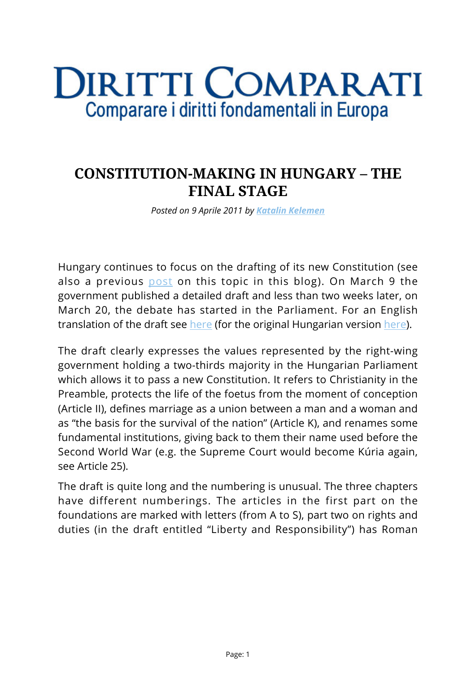## **DIRITTI COMPARATI** Comparare i diritti fondamentali in Europa

## **CONSTITUTION-MAKING IN HUNGARY – THE FINAL STAGE**

*Posted on 9 Aprile 2011 by [Katalin Kelemen](https://www.diritticomparati.it/autore/katalin-kelemen/)*

Hungary continues to focus on the drafting of its new Constitution (see also a previous [post](https://www.diritticomparati.it/2011/03/hungary-is-drafting-a-new-constitution.html) on this topic in this blog). On March 9 the government published a detailed draft and less than two weeks later, on March 20, the debate has started in the Parliament. For an English translation of the draft see [here](http://www.parlament.hu/irom39/02627/02627.pdf) (for the original Hungarian version here).

The draft clearly expresses the values represented by the right-wing government holding a two-thirds majority in the Hungarian Parliament which allows it to pass a new Constitution. It refers to Christianity in the Preamble, protects the life of the foetus from the moment of conception (Article II), defines marriage as a union between a man and a woman and as "the basis for the survival of the nation" (Article K), and renames some fundamental institutions, giving back to them their name used before the Second World War (e.g. the Supreme Court would become Kúria again, see Article 25).

The draft is quite long and the numbering is unusual. The three chapters have different numberings. The articles in the first part on the foundations are marked with letters (from A to S), part two on rights and duties (in the draft entitled "Liberty and Responsibility") has Roman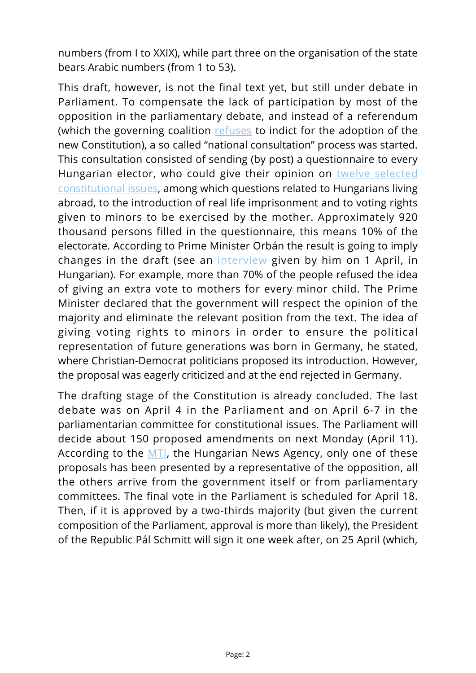numbers (from I to XXIX), while part three on the organisation of the state bears Arabic numbers (from 1 to 53).

This draft, however, is not the final text yet, but still under debate in Parliament. To compensate the lack of participation by most of the opposition in the parliamentary debate, and instead of a referendum (which the governing coalition [refuses](http://www.politics.hu/20110330/no-referendum-to-be-called-on-constitution-says-pm-orban) to indict for the adoption of the new Constitution), a so called "national consultation" process was started. This consultation consisted of sending (by post) a questionnaire to every Hungarian elector, who could give their opinion on [twelve selected](http://boedapest.wordpress.com/2011/03/04/national-consultation-questions-on-the-new-hungarian-constitution/) [constitutional issues](http://boedapest.wordpress.com/2011/03/04/national-consultation-questions-on-the-new-hungarian-constitution/), among which questions related to Hungarians living abroad, to the introduction of real life imprisonment and to voting rights given to minors to be exercised by the mother. Approximately 920 thousand persons filled in the questionnaire, this means 10% of the electorate. According to Prime Minister Orbán the result is going to imply changes in the draft (see an [interview](http://www.hirtv.hu/?tPath=/view/videoview&videoview_id=12343) given by him on 1 April, in Hungarian). For example, more than 70% of the people refused the idea of giving an extra vote to mothers for every minor child. The Prime Minister declared that the government will respect the opinion of the majority and eliminate the relevant position from the text. The idea of giving voting rights to minors in order to ensure the political representation of future generations was born in Germany, he stated, where Christian-Democrat politicians proposed its introduction. However, the proposal was eagerly criticized and at the end rejected in Germany.

The drafting stage of the Constitution is already concluded. The last debate was on April 4 in the Parliament and on April 6-7 in the parliamentarian committee for constitutional issues. The Parliament will decide about 150 proposed amendments on next Monday (April 11). According to the [MTI,](http://www.mti.hu/cikk/2011/04/08/alkotmanyozas-_150_modosito_javaslatot_tamogat_az_eloterjeszto-538715) the Hungarian News Agency, only one of these proposals has been presented by a representative of the opposition, all the others arrive from the government itself or from parliamentary committees. The final vote in the Parliament is scheduled for April 18. Then, if it is approved by a two-thirds majority (but given the current composition of the Parliament, approval is more than likely), the President of the Republic Pál Schmitt will sign it one week after, on 25 April (which,